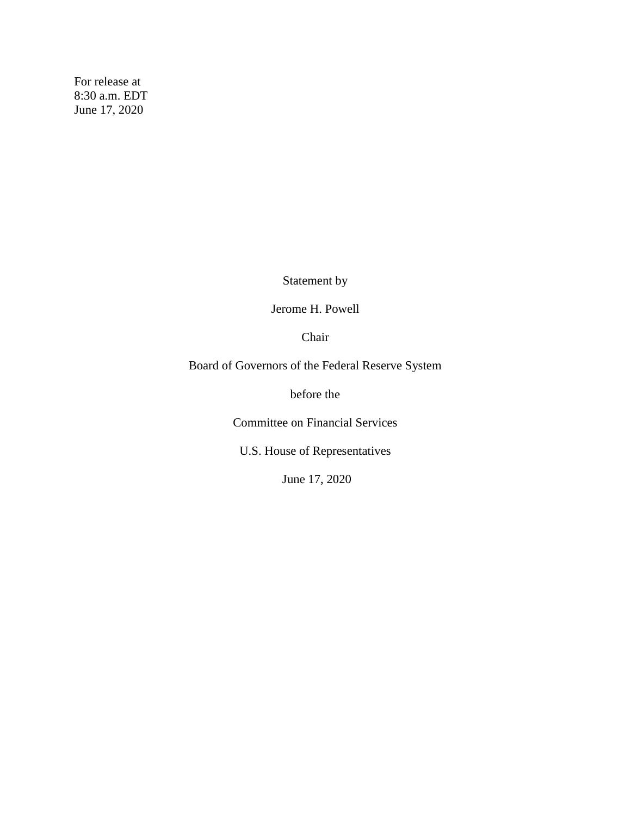For release at 8:30 a.m. EDT June 17, 2020

Statement by

Jerome H. Powell

Chair

Board of Governors of the Federal Reserve System

before the

Committee on Financial Services

U.S. House of Representatives

June 17, 2020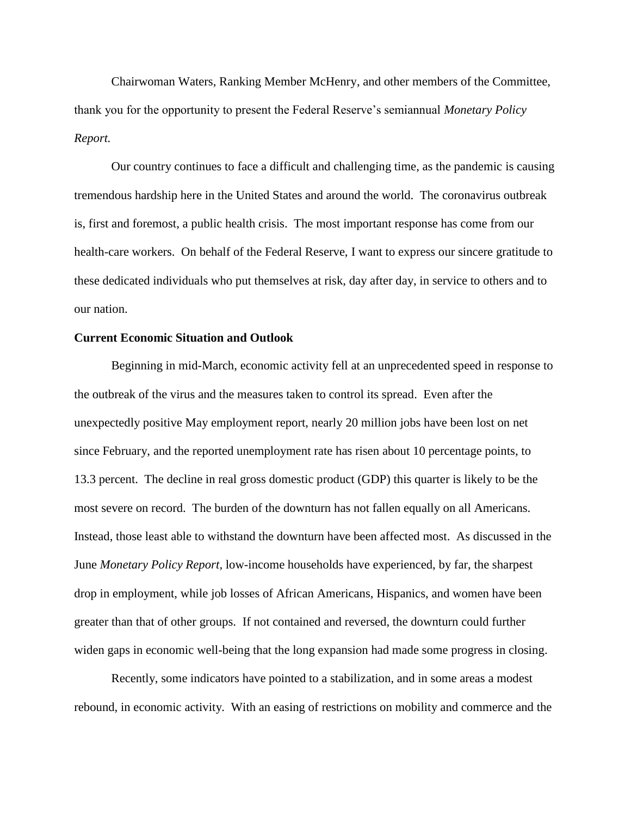Chairwoman Waters, Ranking Member McHenry, and other members of the Committee, thank you for the opportunity to present the Federal Reserve's semiannual *Monetary Policy Report.*

Our country continues to face a difficult and challenging time, as the pandemic is causing tremendous hardship here in the United States and around the world. The coronavirus outbreak is, first and foremost, a public health crisis. The most important response has come from our health-care workers. On behalf of the Federal Reserve, I want to express our sincere gratitude to these dedicated individuals who put themselves at risk, day after day, in service to others and to our nation.

## **Current Economic Situation and Outlook**

Beginning in mid-March, economic activity fell at an unprecedented speed in response to the outbreak of the virus and the measures taken to control its spread. Even after the unexpectedly positive May employment report, nearly 20 million jobs have been lost on net since February, and the reported unemployment rate has risen about 10 percentage points, to 13.3 percent. The decline in real gross domestic product (GDP) this quarter is likely to be the most severe on record. The burden of the downturn has not fallen equally on all Americans. Instead, those least able to withstand the downturn have been affected most. As discussed in the June *Monetary Policy Report,* low-income households have experienced, by far, the sharpest drop in employment, while job losses of African Americans, Hispanics, and women have been greater than that of other groups. If not contained and reversed, the downturn could further widen gaps in economic well-being that the long expansion had made some progress in closing.

Recently, some indicators have pointed to a stabilization, and in some areas a modest rebound, in economic activity. With an easing of restrictions on mobility and commerce and the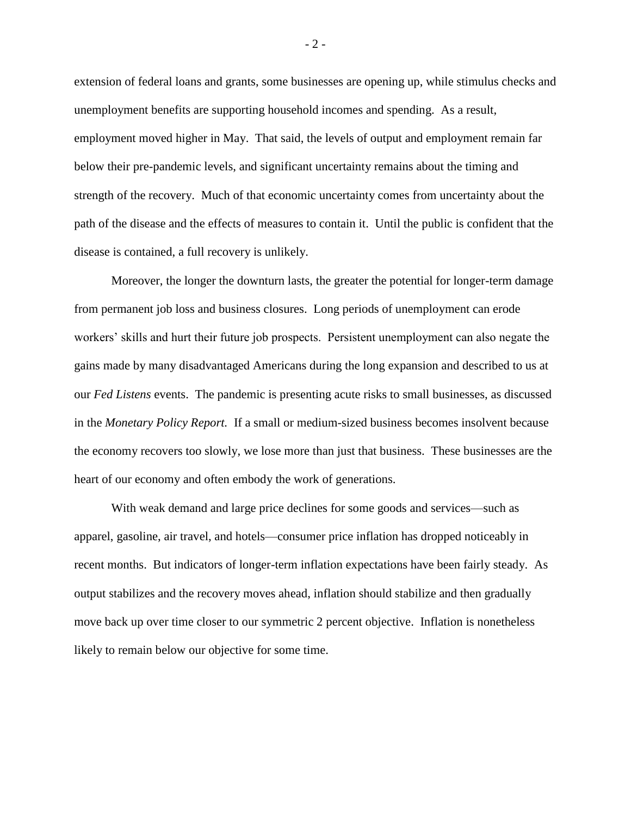extension of federal loans and grants, some businesses are opening up, while stimulus checks and unemployment benefits are supporting household incomes and spending. As a result, employment moved higher in May. That said, the levels of output and employment remain far below their pre-pandemic levels, and significant uncertainty remains about the timing and strength of the recovery. Much of that economic uncertainty comes from uncertainty about the path of the disease and the effects of measures to contain it. Until the public is confident that the disease is contained, a full recovery is unlikely.

Moreover, the longer the downturn lasts, the greater the potential for longer-term damage from permanent job loss and business closures. Long periods of unemployment can erode workers' skills and hurt their future job prospects. Persistent unemployment can also negate the gains made by many disadvantaged Americans during the long expansion and described to us at our *Fed Listens* events. The pandemic is presenting acute risks to small businesses, as discussed in the *Monetary Policy Report.* If a small or medium-sized business becomes insolvent because the economy recovers too slowly, we lose more than just that business. These businesses are the heart of our economy and often embody the work of generations.

With weak demand and large price declines for some goods and services—such as apparel, gasoline, air travel, and hotels—consumer price inflation has dropped noticeably in recent months. But indicators of longer-term inflation expectations have been fairly steady. As output stabilizes and the recovery moves ahead, inflation should stabilize and then gradually move back up over time closer to our symmetric 2 percent objective. Inflation is nonetheless likely to remain below our objective for some time.

- 2 -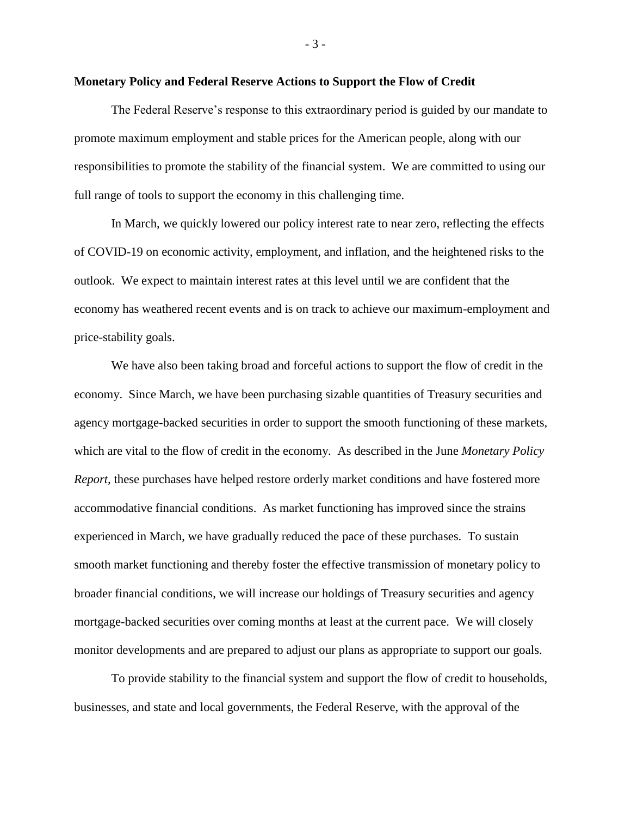## **Monetary Policy and Federal Reserve Actions to Support the Flow of Credit**

The Federal Reserve's response to this extraordinary period is guided by our mandate to promote maximum employment and stable prices for the American people, along with our responsibilities to promote the stability of the financial system. We are committed to using our full range of tools to support the economy in this challenging time.

In March, we quickly lowered our policy interest rate to near zero, reflecting the effects of COVID-19 on economic activity, employment, and inflation, and the heightened risks to the outlook. We expect to maintain interest rates at this level until we are confident that the economy has weathered recent events and is on track to achieve our maximum-employment and price-stability goals.

We have also been taking broad and forceful actions to support the flow of credit in the economy. Since March, we have been purchasing sizable quantities of Treasury securities and agency mortgage-backed securities in order to support the smooth functioning of these markets, which are vital to the flow of credit in the economy. As described in the June *Monetary Policy Report,* these purchases have helped restore orderly market conditions and have fostered more accommodative financial conditions. As market functioning has improved since the strains experienced in March, we have gradually reduced the pace of these purchases. To sustain smooth market functioning and thereby foster the effective transmission of monetary policy to broader financial conditions, we will increase our holdings of Treasury securities and agency mortgage-backed securities over coming months at least at the current pace. We will closely monitor developments and are prepared to adjust our plans as appropriate to support our goals.

To provide stability to the financial system and support the flow of credit to households, businesses, and state and local governments, the Federal Reserve, with the approval of the

- 3 -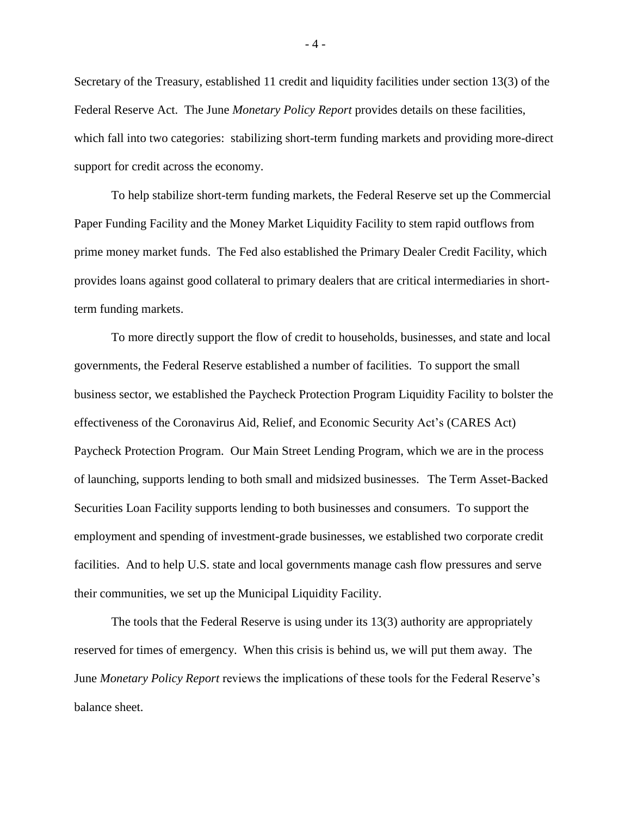Secretary of the Treasury, established 11 credit and liquidity facilities under section 13(3) of the Federal Reserve Act. The June *Monetary Policy Report* provides details on these facilities, which fall into two categories: stabilizing short-term funding markets and providing more-direct support for credit across the economy.

To help stabilize short-term funding markets, the Federal Reserve set up the Commercial Paper Funding Facility and the Money Market Liquidity Facility to stem rapid outflows from prime money market funds. The Fed also established the Primary Dealer Credit Facility, which provides loans against good collateral to primary dealers that are critical intermediaries in shortterm funding markets.

To more directly support the flow of credit to households, businesses, and state and local governments, the Federal Reserve established a number of facilities. To support the small business sector, we established the Paycheck Protection Program Liquidity Facility to bolster the effectiveness of the Coronavirus Aid, Relief, and Economic Security Act's (CARES Act) Paycheck Protection Program. Our Main Street Lending Program, which we are in the process of launching, supports lending to both small and midsized businesses. The Term Asset-Backed Securities Loan Facility supports lending to both businesses and consumers. To support the employment and spending of investment-grade businesses, we established two corporate credit facilities. And to help U.S. state and local governments manage cash flow pressures and serve their communities, we set up the Municipal Liquidity Facility.

The tools that the Federal Reserve is using under its 13(3) authority are appropriately reserved for times of emergency. When this crisis is behind us, we will put them away. The June *Monetary Policy Report* reviews the implications of these tools for the Federal Reserve's balance sheet.

- 4 -